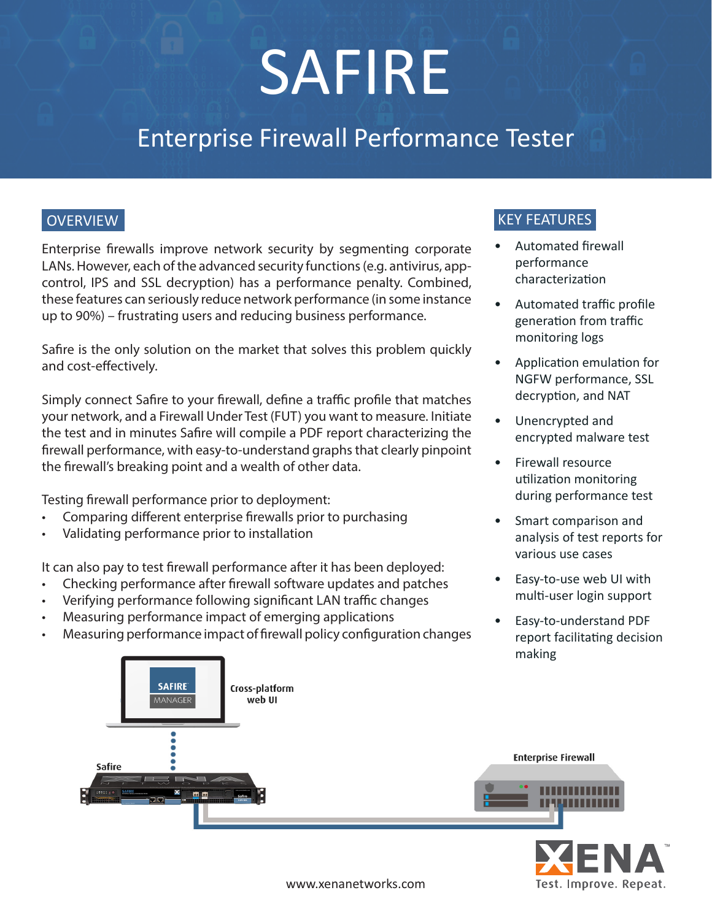# SAFIRE

# Enterprise Firewall Performance Tester

# **OVERVIEW**

Enterprise firewalls improve network security by segmenting corporate LANs. However, each of the advanced security functions (e.g. antivirus, appcontrol, IPS and SSL decryption) has a performance penalty. Combined, these features can seriously reduce network performance (in some instance up to 90%) – frustrating users and reducing business performance.

Safire is the only solution on the market that solves this problem quickly and cost-effectively.

Simply connect Safire to your firewall, define a traffic profile that matches your network, and a Firewall Under Test (FUT) you want to measure. Initiate the test and in minutes Safire will compile a PDF report characterizing the firewall performance, with easy-to-understand graphs that clearly pinpoint the firewall's breaking point and a wealth of other data.

Testing firewall performance prior to deployment:

- Comparing different enterprise firewalls prior to purchasing
- Validating performance prior to installation

It can also pay to test firewall performance after it has been deployed:

- Checking performance after firewall software updates and patches
- Verifying performance following significant LAN traffic changes
- Measuring performance impact of emerging applications
- Measuring performance impact of firewall policy configuration changes





#### www.xenanetworks.com

# KEY FEATURES

- Automated firewall performance characterization
- Automated traffic profile generation from traffic monitoring logs
- Application emulation for NGFW performance, SSL decryption, and NAT
- Unencrypted and encrypted malware test
- Firewall resource utilization monitoring during performance test
- Smart comparison and analysis of test reports for various use cases
- Easy-to-use web UI with multi-user login support
- Easy-to-understand PDF report facilitating decision making